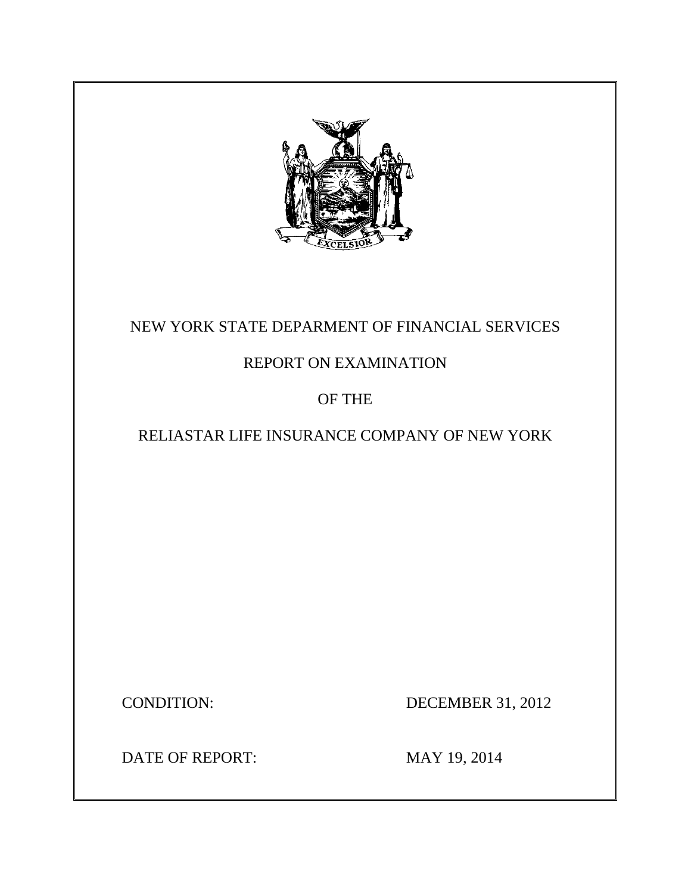

# NEW YORK STATE DEPARMENT OF FINANCIAL SERVICES

# REPORT ON EXAMINATION

# OF THE

# RELIASTAR LIFE INSURANCE COMPANY OF NEW YORK

**CONDITION:** 

DECEMBER 31, 2012

DATE OF REPORT: MAY 19, 2014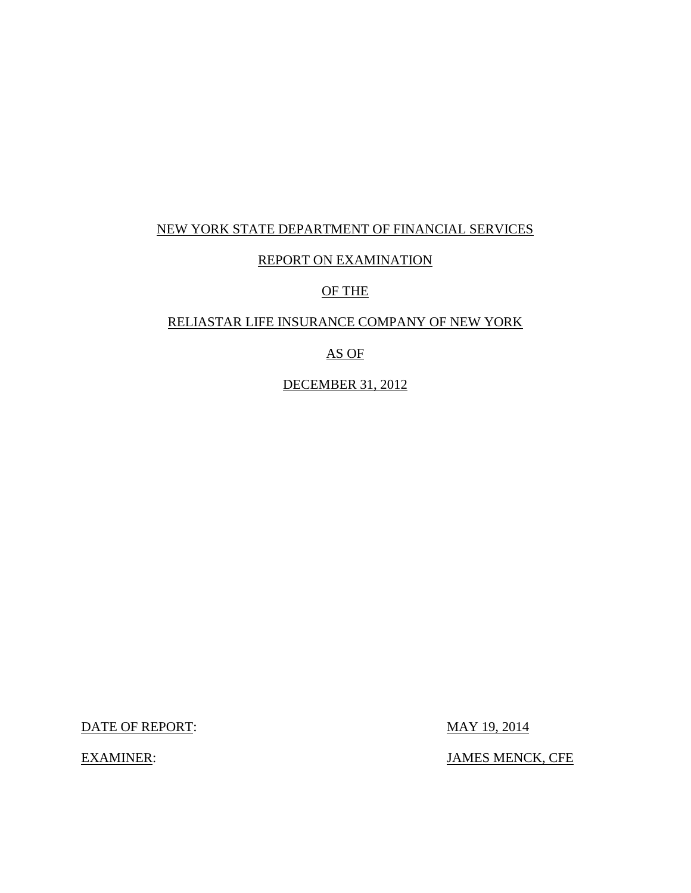### NEW YORK STATE DEPARTMENT OF FINANCIAL SERVICES

### REPORT ON EXAMINATION

#### OF THE

#### RELIASTAR LIFE INSURANCE COMPANY OF NEW YORK

## AS OF

DECEMBER 31, 2012

DATE OF REPORT: MAY 19, 2014

**EXAMINER:** 

JAMES MENCK, CFE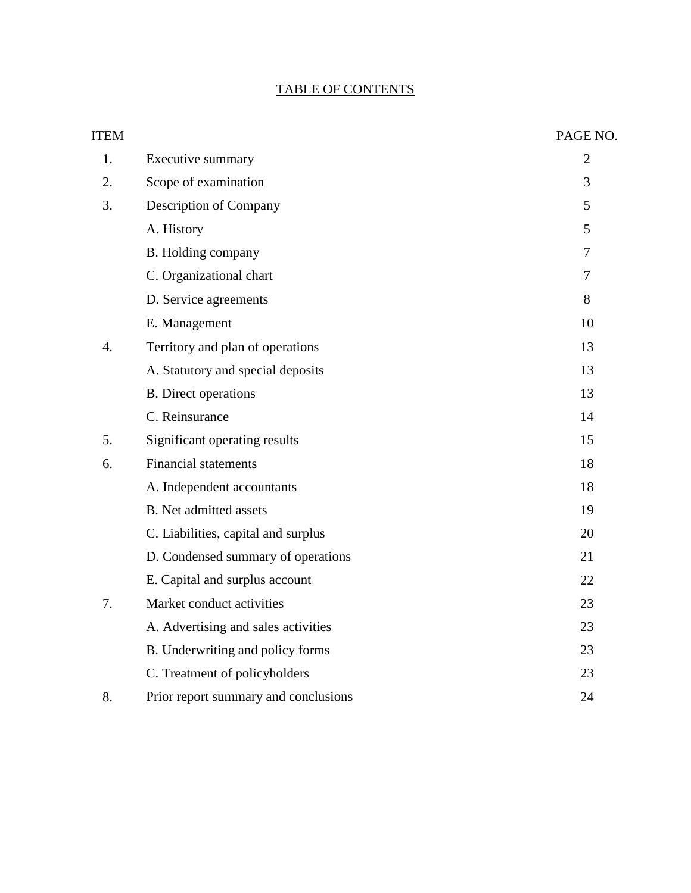## TABLE OF CONTENTS

| <b>ITEM</b> |                                      | PAGE NO.       |
|-------------|--------------------------------------|----------------|
| 1.          | <b>Executive summary</b>             | $\overline{2}$ |
| 2.          | Scope of examination                 | 3              |
| 3.          | Description of Company               | 5              |
|             | A. History                           | 5              |
|             | B. Holding company                   | $\tau$         |
|             | C. Organizational chart              | 7              |
|             | D. Service agreements                | 8              |
|             | E. Management                        | 10             |
| 4.          | Territory and plan of operations     | 13             |
|             | A. Statutory and special deposits    | 13             |
|             | <b>B.</b> Direct operations          | 13             |
|             | C. Reinsurance                       | 14             |
| 5.          | Significant operating results        | 15             |
| 6.          | <b>Financial statements</b>          | 18             |
|             | A. Independent accountants           | 18             |
|             | <b>B.</b> Net admitted assets        | 19             |
|             | C. Liabilities, capital and surplus  | 20             |
|             | D. Condensed summary of operations   | 21             |
|             | E. Capital and surplus account       | 22             |
| 7.          | Market conduct activities            | 23             |
|             | A. Advertising and sales activities  | 23             |
|             | B. Underwriting and policy forms     | 23             |
|             | C. Treatment of policyholders        | 23             |
| 8.          | Prior report summary and conclusions | 24             |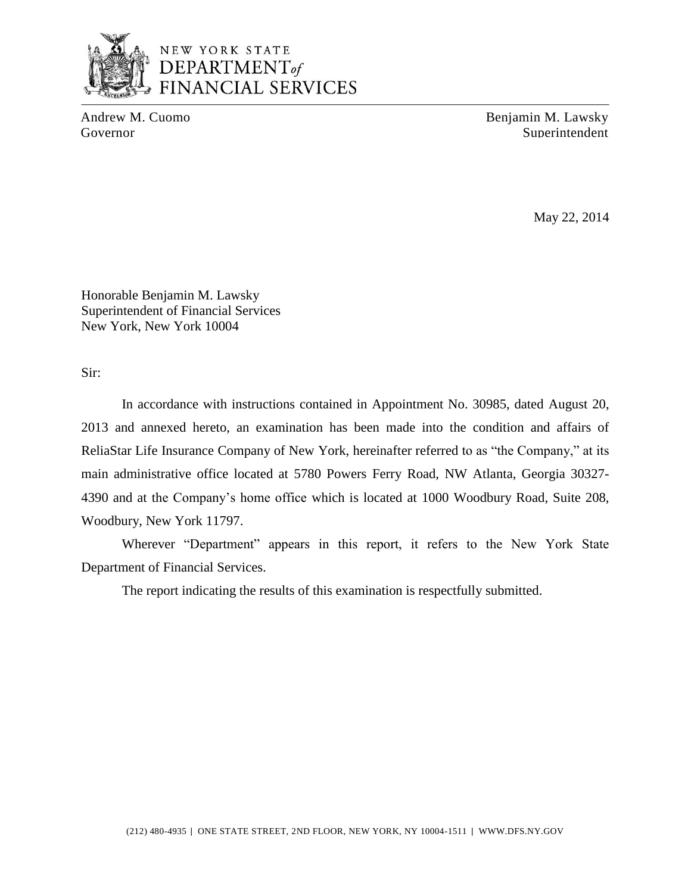

## NEW YORK STATE DEPARTMENT<sub>of</sub> **FINANCIAL SERVICES**

Andrew M. Cuomo Benjamin M. Lawsky Governor Superintendent Superintendent Superintendent Superintendent Superintendent

May 22, 2014

Honorable Benjamin M. Lawsky Superintendent of Financial Services New York, New York 10004

Sir:

 In accordance with instructions contained in Appointment No. 30985, dated August 20, ReliaStar Life Insurance Company of New York, hereinafter referred to as "the Company," at its main administrative office located at 5780 Powers Ferry Road, NW Atlanta, Georgia 30327- 4390 and at the Company's home office which is located at 1000 Woodbury Road, Suite 208, 2013 and annexed hereto, an examination has been made into the condition and affairs of Woodbury, New York 11797.

Wherever "Department" appears in this report, it refers to the New York State Department of Financial Services.

The report indicating the results of this examination is respectfully submitted.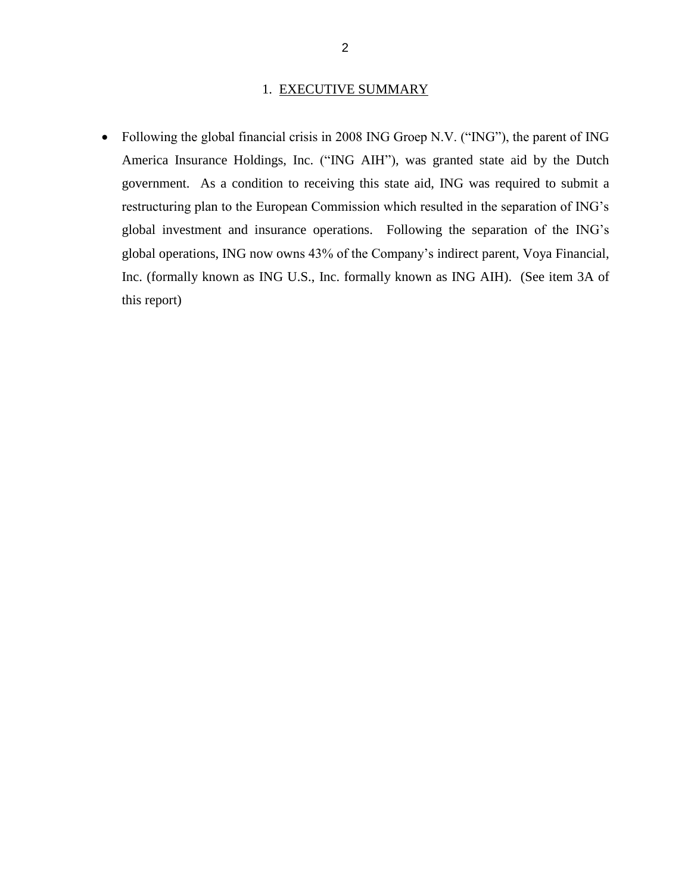#### 1. EXECUTIVE SUMMARY

<span id="page-4-0"></span>• Following the global financial crisis in 2008 ING Groep N.V. ("ING"), the parent of ING America Insurance Holdings, Inc. ("ING AIH"), was granted state aid by the Dutch government. As a condition to receiving this state aid, ING was required to submit a restructuring plan to the European Commission which resulted in the separation of ING's global investment and insurance operations. Following the separation of the ING's global operations, ING now owns 43% of the Company's indirect parent, Voya Financial, Inc. (formally known as ING U.S., Inc. formally known as ING AIH). (See item 3A of this report)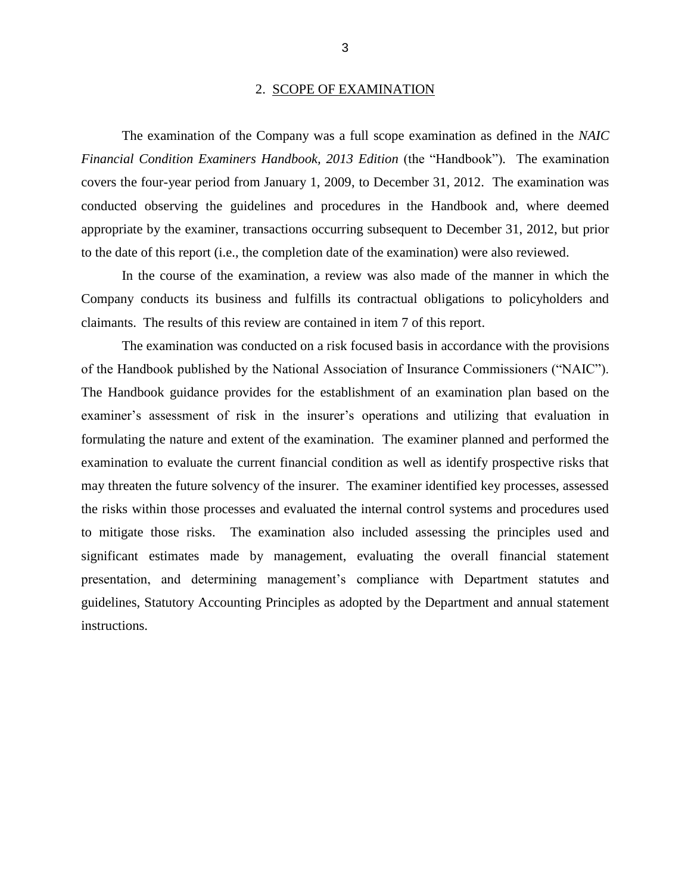#### 2. SCOPE OF EXAMINATION

<span id="page-5-0"></span> *Financial Condition Examiners Handbook, 2013 Edition* (the "Handbook")*.* The examination covers the four-year period from January 1, 2009, to December 31, 2012. The examination was conducted observing the guidelines and procedures in the Handbook and, where deemed appropriate by the examiner, transactions occurring subsequent to December 31, 2012, but prior The examination of the Company was a full scope examination as defined in the *NAIC*  to the date of this report (i.e., the completion date of the examination) were also reviewed.

 In the course of the examination, a review was also made of the manner in which the Company conducts its business and fulfills its contractual obligations to policyholders and claimants. The results of this review are contained in item 7 of this report.

 of the Handbook published by the National Association of Insurance Commissioners ("NAIC"). examiner's assessment of risk in the insurer's operations and utilizing that evaluation in formulating the nature and extent of the examination. The examiner planned and performed the examination to evaluate the current financial condition as well as identify prospective risks that may threaten the future solvency of the insurer. The examiner identified key processes, assessed to mitigate those risks. The examination also included assessing the principles used and significant estimates made by management, evaluating the overall financial statement guidelines, Statutory Accounting Principles as adopted by the Department and annual statement The examination was conducted on a risk focused basis in accordance with the provisions The Handbook guidance provides for the establishment of an examination plan based on the the risks within those processes and evaluated the internal control systems and procedures used presentation, and determining management's compliance with Department statutes and instructions.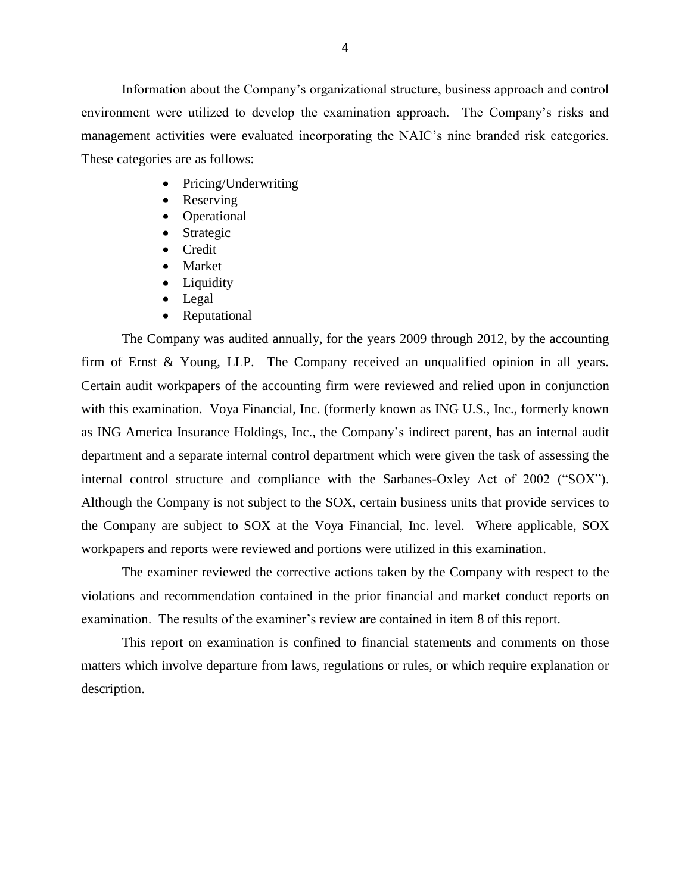environment were utilized to develop the examination approach. The Company's risks and management activities were evaluated incorporating the NAIC's nine branded risk categories. These categories are as follows: Information about the Company's organizational structure, business approach and control

- Pricing/Underwriting
- Reserving
- Operational
- Strategic
- Credit
- Market
- Liquidity
- Legal
- Reputational

 The Company was audited annually, for the years 2009 through 2012, by the accounting firm of Ernst & Young, LLP. The Company received an unqualified opinion in all years. Certain audit workpapers of the accounting firm were reviewed and relied upon in conjunction with this examination. Voya Financial, Inc. (formerly known as ING U.S., Inc., formerly known as ING America Insurance Holdings, Inc., the Company's indirect parent, has an internal audit department and a separate internal control department which were given the task of assessing the internal control structure and compliance with the Sarbanes-Oxley Act of 2002 ("SOX"). the Company are subject to SOX at the Voya Financial, Inc. level. Where applicable, SOX workpapers and reports were reviewed and portions were utilized in this examination. Although the Company is not subject to the SOX, certain business units that provide services to

The examiner reviewed the corrective actions taken by the Company with respect to the violations and recommendation contained in the prior financial and market conduct reports on examination. The results of the examiner's review are contained in item 8 of this report.

 matters which involve departure from laws, regulations or rules, or which require explanation or This report on examination is confined to financial statements and comments on those description.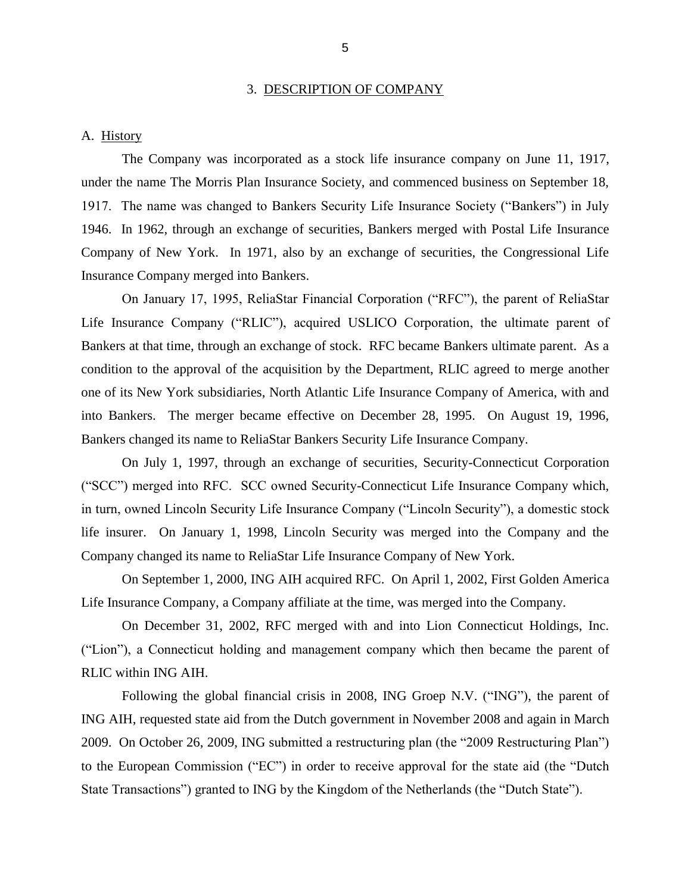#### 3. DESCRIPTION OF COMPANY

#### <span id="page-7-0"></span>A. History

 under the name The Morris Plan Insurance Society, and commenced business on September 18, 1917. The name was changed to Bankers Security Life Insurance Society ("Bankers") in July 1946. In 1962, through an exchange of securities, Bankers merged with Postal Life Insurance Company of New York. In 1971, also by an exchange of securities, the Congressional Life The Company was incorporated as a stock life insurance company on June 11, 1917, Insurance Company merged into Bankers.

 On January 17, 1995, ReliaStar Financial Corporation ("RFC"), the parent of ReliaStar Life Insurance Company ("RLIC"), acquired USLICO Corporation, the ultimate parent of Bankers at that time, through an exchange of stock. RFC became Bankers ultimate parent. As a condition to the approval of the acquisition by the Department, RLIC agreed to merge another one of its New York subsidiaries, North Atlantic Life Insurance Company of America, with and into Bankers. The merger became effective on December 28, 1995. On August 19, 1996, Bankers changed its name to ReliaStar Bankers Security Life Insurance Company.

 On July 1, 1997, through an exchange of securities, Security-Connecticut Corporation ("SCC") merged into RFC. SCC owned Security-Connecticut Life Insurance Company which, in turn, owned Lincoln Security Life Insurance Company ("Lincoln Security"), a domestic stock life insurer. On January 1, 1998, Lincoln Security was merged into the Company and the Company changed its name to ReliaStar Life Insurance Company of New York.

 Life Insurance Company, a Company affiliate at the time, was merged into the Company. On September 1, 2000, ING AIH acquired RFC. On April 1, 2002, First Golden America

 On December 31, 2002, RFC merged with and into Lion Connecticut Holdings, Inc. RLIC within ING AIH. ("Lion"), a Connecticut holding and management company which then became the parent of

 Following the global financial crisis in 2008, ING Groep N.V. ("ING"), the parent of 2009. On October 26, 2009, ING submitted a restructuring plan (the "2009 Restructuring Plan") to the European Commission ("EC") in order to receive approval for the state aid (the "Dutch ING AIH, requested state aid from the Dutch government in November 2008 and again in March State Transactions") granted to ING by the Kingdom of the Netherlands (the "Dutch State").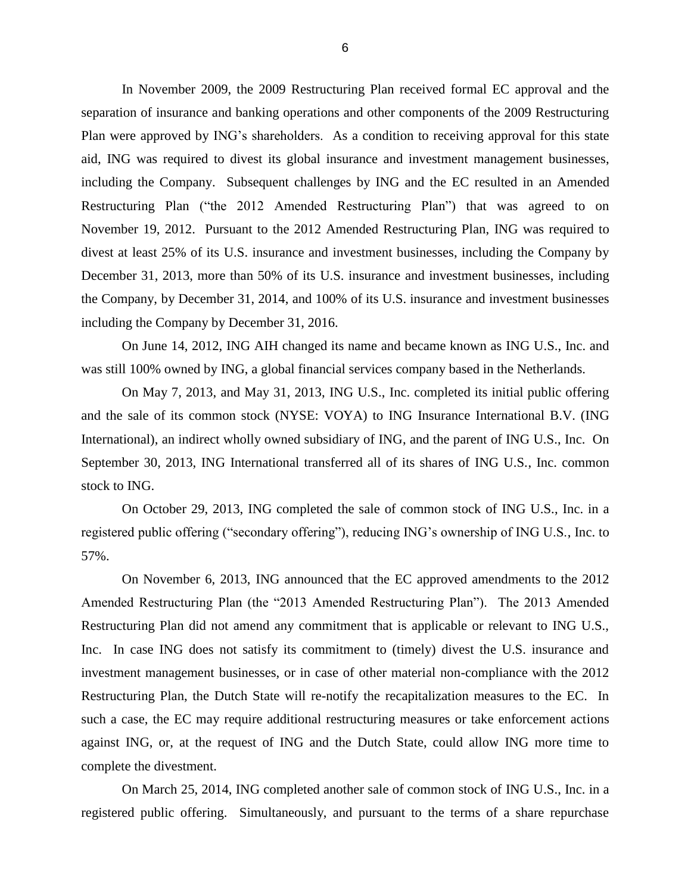In November 2009, the 2009 Restructuring Plan received formal EC approval and the separation of insurance and banking operations and other components of the 2009 Restructuring Plan were approved by ING's shareholders. As a condition to receiving approval for this state aid, ING was required to divest its global insurance and investment management businesses, including the Company. Subsequent challenges by ING and the EC resulted in an Amended Restructuring Plan ("the 2012 Amended Restructuring Plan") that was agreed to on Restructuring Plan ("the 2012 Amended Restructuring Plan") that was agreed to on November 19, 2012. Pursuant to the 2012 Amended Restructuring Plan, ING was required to divest at least 25% of its U.S. insurance and investment businesses, including the Company by December 31, 2013, more than 50% of its U.S. insurance and investment businesses, including the Company, by December 31, 2014, and 100% of its U.S. insurance and investment businesses including the Company by December 31, 2016.

 was still 100% owned by ING, a global financial services company based in the Netherlands. On June 14, 2012, ING AIH changed its name and became known as ING U.S., Inc. and

 On May 7, 2013, and May 31, 2013, ING U.S., Inc. completed its initial public offering and the sale of its common stock (NYSE: VOYA) to ING Insurance International B.V. (ING International), an indirect wholly owned subsidiary of ING, and the parent of ING U.S., Inc. On September 30, 2013, ING International transferred all of its shares of ING U.S., Inc. common stock to ING.

 On October 29, 2013, ING completed the sale of common stock of ING U.S., Inc. in a registered public offering ("secondary offering"), reducing ING's ownership of ING U.S., Inc. to 57%.

 Amended Restructuring Plan (the "2013 Amended Restructuring Plan"). The 2013 Amended Restructuring Plan did not amend any commitment that is applicable or relevant to ING U.S., Inc. In case ING does not satisfy its commitment to (timely) divest the U.S. insurance and investment management businesses, or in case of other material non-compliance with the 2012 Restructuring Plan, the Dutch State will re-notify the recapitalization measures to the EC. In such a case, the EC may require additional restructuring measures or take enforcement actions against ING, or, at the request of ING and the Dutch State, could allow ING more time to On November 6, 2013, ING announced that the EC approved amendments to the 2012 complete the divestment.

 On March 25, 2014, ING completed another sale of common stock of ING U.S., Inc. in a registered public offering. Simultaneously, and pursuant to the terms of a share repurchase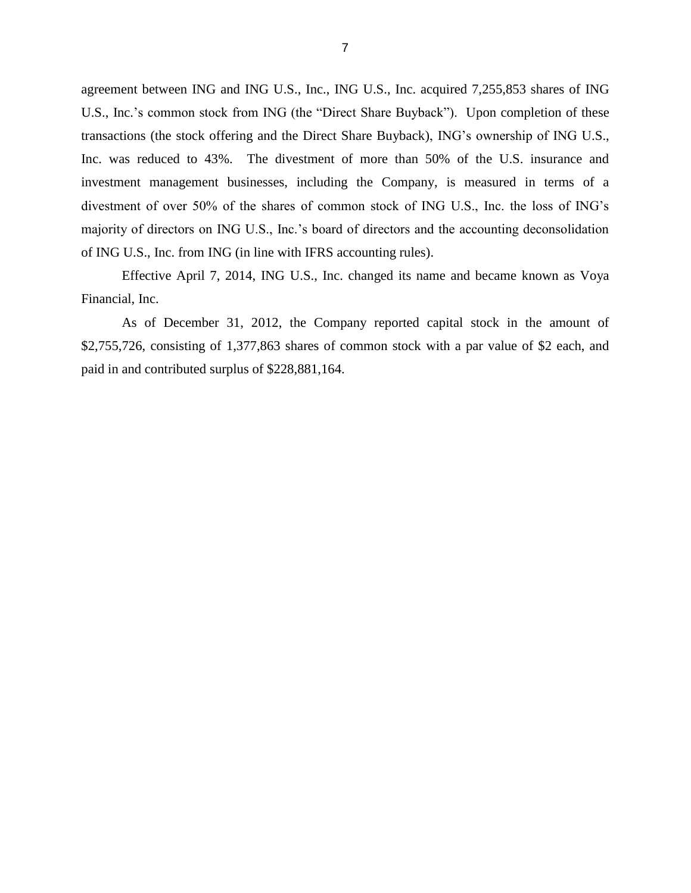<span id="page-9-0"></span> agreement between ING and ING U.S., Inc., ING U.S., Inc. acquired 7,255,853 shares of ING U.S., Inc.'s common stock from ING (the "Direct Share Buyback"). Upon completion of these transactions (the stock offering and the Direct Share Buyback), ING's ownership of ING U.S., Inc. was reduced to 43%. The divestment of more than 50% of the U.S. insurance and investment management businesses, including the Company, is measured in terms of a divestment of over 50% of the shares of common stock of ING U.S., Inc. the loss of ING's majority of directors on ING U.S., Inc.'s board of directors and the accounting deconsolidation of ING U.S., Inc. from ING (in line with IFRS accounting rules).

 Effective April 7, 2014, ING U.S., Inc. changed its name and became known as Voya Financial, Inc.

 As of December 31, 2012, the Company reported capital stock in the amount of \$2,755,726, consisting of 1,377,863 shares of common stock with a par value of \$2 each, and paid in and contributed surplus of \$228,881,164.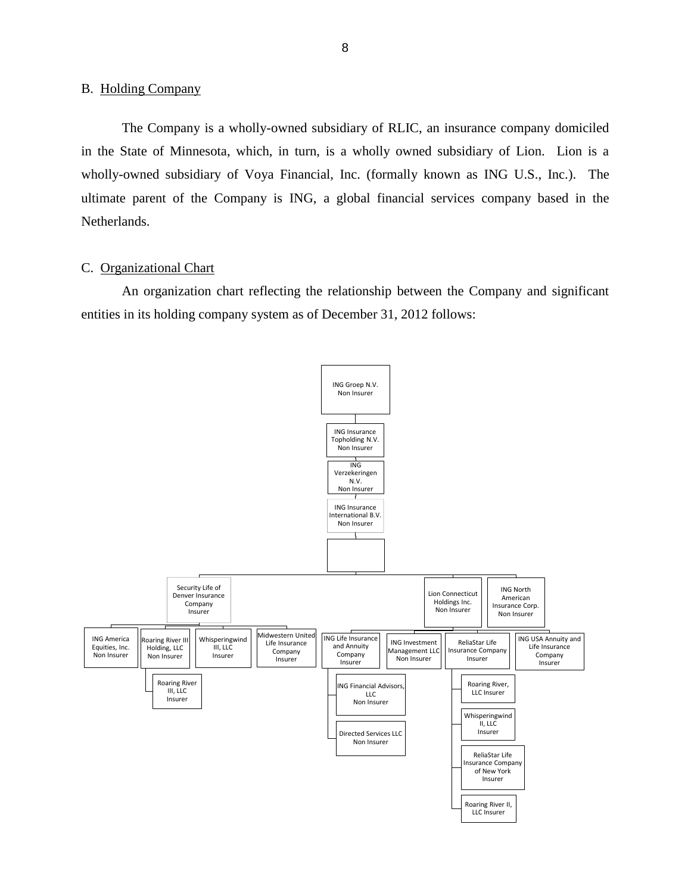#### <span id="page-10-0"></span>B. Holding Company

The Company is a wholly-owned subsidiary of RLIC, an insurance company domiciled in the State of Minnesota, which, in turn, is a wholly owned subsidiary of Lion. Lion is a wholly-owned subsidiary of Voya Financial, Inc. (formally known as ING U.S., Inc.). The ultimate parent of the Company is ING, a global financial services company based in the Netherlands.

#### C. Organizational Chart

An organization chart reflecting the relationship between the Company and significant entities in its holding company system as of December 31, 2012 follows:

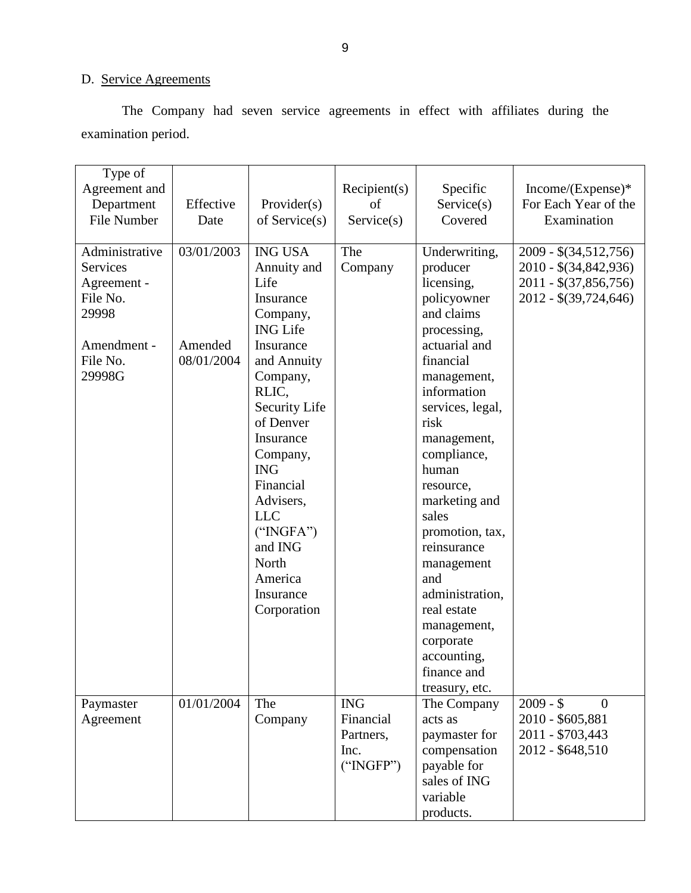## D. Service Agreements

The Company had seven service agreements in effect with affiliates during the examination period.

| Type of<br>Agreement and<br>Department<br>File Number                                                      | Effective<br>Date                   | Provider(s)<br>of Service $(s)$                                                                                                                                                                                                                                                                                         | Recipient(s)<br>of<br>Service(s)                          | Specific<br>Service(s)<br>Covered                                                                                                                                                                                                                                                                                                                                                                                              | Income/(Expense)*<br>For Each Year of the<br>Examination                                              |
|------------------------------------------------------------------------------------------------------------|-------------------------------------|-------------------------------------------------------------------------------------------------------------------------------------------------------------------------------------------------------------------------------------------------------------------------------------------------------------------------|-----------------------------------------------------------|--------------------------------------------------------------------------------------------------------------------------------------------------------------------------------------------------------------------------------------------------------------------------------------------------------------------------------------------------------------------------------------------------------------------------------|-------------------------------------------------------------------------------------------------------|
| Administrative<br><b>Services</b><br>Agreement -<br>File No.<br>29998<br>Amendment -<br>File No.<br>29998G | 03/01/2003<br>Amended<br>08/01/2004 | <b>ING USA</b><br>Annuity and<br>Life<br>Insurance<br>Company,<br><b>ING Life</b><br>Insurance<br>and Annuity<br>Company,<br>RLIC,<br>Security Life<br>of Denver<br>Insurance<br>Company,<br><b>ING</b><br>Financial<br>Advisers,<br><b>LLC</b><br>("INGFA")<br>and ING<br>North<br>America<br>Insurance<br>Corporation | The<br>Company                                            | Underwriting,<br>producer<br>licensing,<br>policyowner<br>and claims<br>processing,<br>actuarial and<br>financial<br>management,<br>information<br>services, legal,<br>risk<br>management,<br>compliance,<br>human<br>resource,<br>marketing and<br>sales<br>promotion, tax,<br>reinsurance<br>management<br>and<br>administration,<br>real estate<br>management,<br>corporate<br>accounting,<br>finance and<br>treasury, etc. | $2009 - $(34,512,756)$<br>2010 - \$(34,842,936)<br>$2011 - $(37,856,756)$<br>$2012 - $(39, 724, 646)$ |
| Paymaster<br>Agreement                                                                                     | 01/01/2004                          | The<br>Company                                                                                                                                                                                                                                                                                                          | <b>ING</b><br>Financial<br>Partners,<br>Inc.<br>("INGFP") | The Company<br>acts as<br>paymaster for<br>compensation<br>payable for<br>sales of ING<br>variable<br>products.                                                                                                                                                                                                                                                                                                                | $2009 - $$<br>$\overline{0}$<br>2010 - \$605,881<br>2011 - \$703,443<br>2012 - \$648,510              |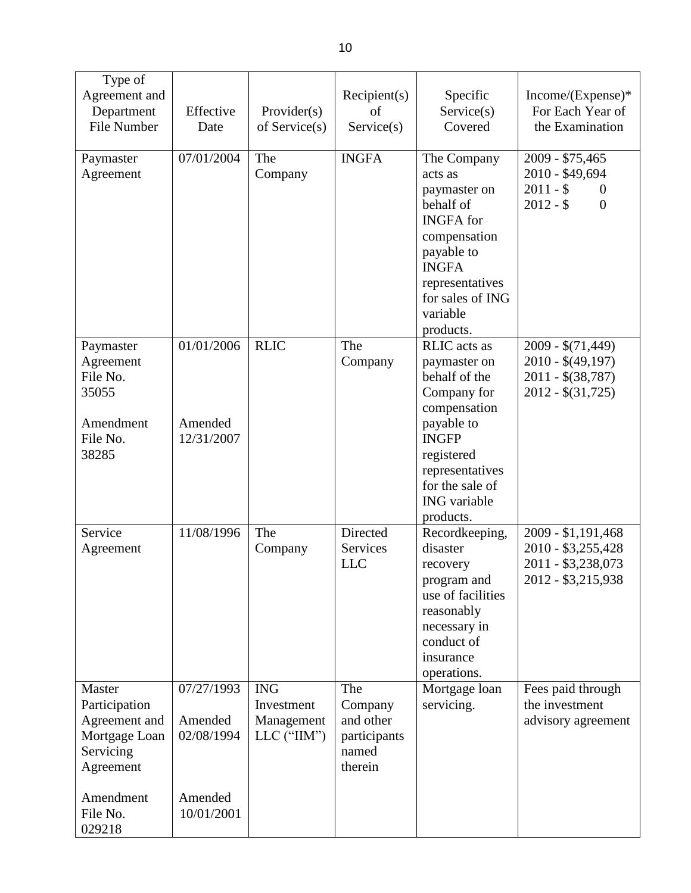| Type of<br>Agreement and<br>Department<br>File Number                                                                  | Effective<br>Date                                            | Provider(s)<br>of Service(s)                                | Recipient(s)<br>of<br>Service(s)                                | Specific<br>Service(s)<br>Covered                                                                                                                                                           | Income/(Expense)*<br>For Each Year of<br>the Examination                                       |
|------------------------------------------------------------------------------------------------------------------------|--------------------------------------------------------------|-------------------------------------------------------------|-----------------------------------------------------------------|---------------------------------------------------------------------------------------------------------------------------------------------------------------------------------------------|------------------------------------------------------------------------------------------------|
| Paymaster<br>Agreement                                                                                                 | 07/01/2004                                                   | The<br>Company                                              | <b>INGFA</b>                                                    | The Company<br>acts as<br>paymaster on<br>behalf of<br><b>INGFA</b> for<br>compensation<br>payable to<br><b>INGFA</b><br>representatives<br>for sales of ING<br>variable<br>products.       | 2009 - \$75,465<br>2010 - \$49,694<br>$2011 - $$<br>$\boldsymbol{0}$<br>$2012 - $$<br>$\theta$ |
| Paymaster<br>Agreement<br>File No.<br>35055<br>Amendment<br>File No.<br>38285                                          | 01/01/2006<br>Amended<br>12/31/2007                          | <b>RLIC</b>                                                 | The<br>Company                                                  | RLIC acts as<br>paymaster on<br>behalf of the<br>Company for<br>compensation<br>payable to<br><b>INGFP</b><br>registered<br>representatives<br>for the sale of<br>ING variable<br>products. | $2009 - $(71,449)$<br>$2010 - $(49,197)$$<br>$2011 - $(38, 787)$<br>$2012 - $(31,725)$         |
| Service<br>Agreement                                                                                                   | 11/08/1996                                                   | The<br>Company                                              | Directed<br>Services<br><b>LLC</b>                              | Recordkeeping,<br>disaster<br>recovery<br>program and<br>use of facilities<br>reasonably<br>necessary in<br>conduct of<br>insurance<br>operations.                                          | 2009 - \$1,191,468<br>2010 - \$3,255,428<br>2011 - \$3,238,073<br>2012 - \$3,215,938           |
| Master<br>Participation<br>Agreement and<br>Mortgage Loan<br>Servicing<br>Agreement<br>Amendment<br>File No.<br>029218 | 07/27/1993<br>Amended<br>02/08/1994<br>Amended<br>10/01/2001 | <b>ING</b><br>Investment<br>Management<br>$LLC$ (" $IIM$ ") | The<br>Company<br>and other<br>participants<br>named<br>therein | Mortgage loan<br>servicing.                                                                                                                                                                 | Fees paid through<br>the investment<br>advisory agreement                                      |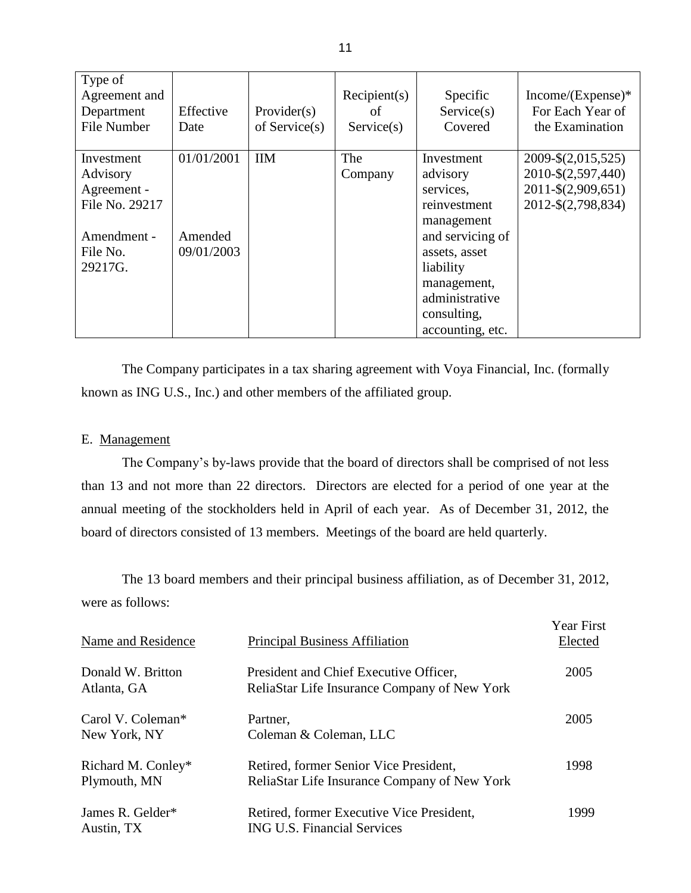| Type of<br>Agreement and<br>Department<br><b>File Number</b>                                  | Effective<br>Date                   | Provider $(s)$<br>of Service $(s)$ | Recipient(s)<br>of<br>Service(s) | Specific<br>Service(s)<br>Covered                                                                                                                                                       | $Income/(Expense)*$<br>For Each Year of<br>the Examination                           |
|-----------------------------------------------------------------------------------------------|-------------------------------------|------------------------------------|----------------------------------|-----------------------------------------------------------------------------------------------------------------------------------------------------------------------------------------|--------------------------------------------------------------------------------------|
| Investment<br>Advisory<br>Agreement -<br>File No. 29217<br>Amendment -<br>File No.<br>29217G. | 01/01/2001<br>Amended<br>09/01/2003 | <b>IIM</b>                         | The<br>Company                   | Investment<br>advisory<br>services,<br>reinvestment<br>management<br>and servicing of<br>assets, asset<br>liability<br>management,<br>administrative<br>consulting,<br>accounting, etc. | 2009-\$(2,015,525)<br>2010-\$(2,597,440)<br>2011-\$(2,909,651)<br>2012-\$(2,798,834) |

 The Company participates in a tax sharing agreement with Voya Financial, Inc. (formally known as ING U.S., Inc.) and other members of the affiliated group.

#### E. Management

 The Company's by-laws provide that the board of directors shall be comprised of not less than 13 and not more than 22 directors. Directors are elected for a period of one year at the annual meeting of the stockholders held in April of each year. As of December 31, 2012, the board of directors consisted of 13 members. Meetings of the board are held quarterly.

 were as follows: The 13 board members and their principal business affiliation, as of December 31, 2012,

| Name and Residence                            | <b>Principal Business Affiliation</b>                                                  | <b>Year First</b><br>Elected |
|-----------------------------------------------|----------------------------------------------------------------------------------------|------------------------------|
| Donald W. Britton<br>Atlanta, GA              | President and Chief Executive Officer,<br>ReliaStar Life Insurance Company of New York | 2005                         |
| Carol V. Coleman <sup>*</sup><br>New York, NY | Partner,<br>Coleman & Coleman, LLC                                                     | 2005                         |
| Richard M. Conley*<br>Plymouth, MN            | Retired, former Senior Vice President,<br>ReliaStar Life Insurance Company of New York | 1998                         |
| James R. Gelder*<br>Austin, TX                | Retired, former Executive Vice President,<br><b>ING U.S. Financial Services</b>        | 1999                         |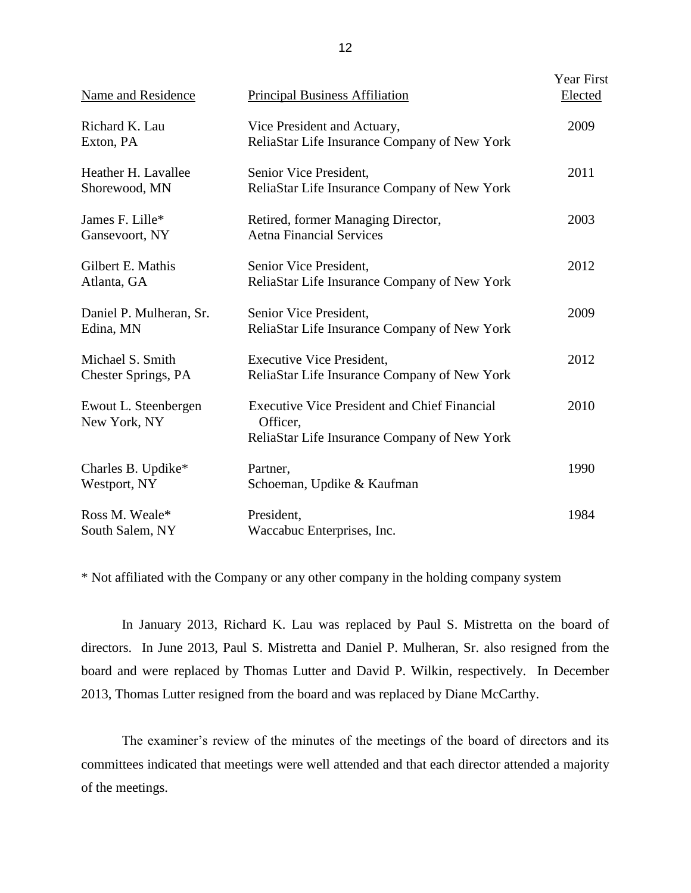| Name and Residence                      | <b>Principal Business Affiliation</b>                                                                           | Year First<br>Elected |
|-----------------------------------------|-----------------------------------------------------------------------------------------------------------------|-----------------------|
| Richard K. Lau<br>Exton, PA             | Vice President and Actuary,<br>ReliaStar Life Insurance Company of New York                                     | 2009                  |
| Heather H. Lavallee<br>Shorewood, MN    | Senior Vice President,<br>ReliaStar Life Insurance Company of New York                                          | 2011                  |
| James F. Lille*<br>Gansevoort, NY       | Retired, former Managing Director,<br><b>Aetna Financial Services</b>                                           | 2003                  |
| Gilbert E. Mathis<br>Atlanta, GA        | Senior Vice President,<br>ReliaStar Life Insurance Company of New York                                          | 2012                  |
| Daniel P. Mulheran, Sr.<br>Edina, MN    | Senior Vice President,<br>ReliaStar Life Insurance Company of New York                                          | 2009                  |
| Michael S. Smith<br>Chester Springs, PA | <b>Executive Vice President,</b><br>ReliaStar Life Insurance Company of New York                                | 2012                  |
| Ewout L. Steenbergen<br>New York, NY    | <b>Executive Vice President and Chief Financial</b><br>Officer,<br>ReliaStar Life Insurance Company of New York | 2010                  |
| Charles B. Updike*<br>Westport, NY      | Partner,<br>Schoeman, Updike & Kaufman                                                                          | 1990                  |
| Ross M. Weale*<br>South Salem, NY       | President,<br>Waccabuc Enterprises, Inc.                                                                        | 1984                  |

\* Not affiliated with the Company or any other company in the holding company system

 In January 2013, Richard K. Lau was replaced by Paul S. Mistretta on the board of directors. In June 2013, Paul S. Mistretta and Daniel P. Mulheran, Sr. also resigned from the board and were replaced by Thomas Lutter and David P. Wilkin, respectively. In December 2013, Thomas Lutter resigned from the board and was replaced by Diane McCarthy.

 The examiner's review of the minutes of the meetings of the board of directors and its committees indicated that meetings were well attended and that each director attended a majority of the meetings.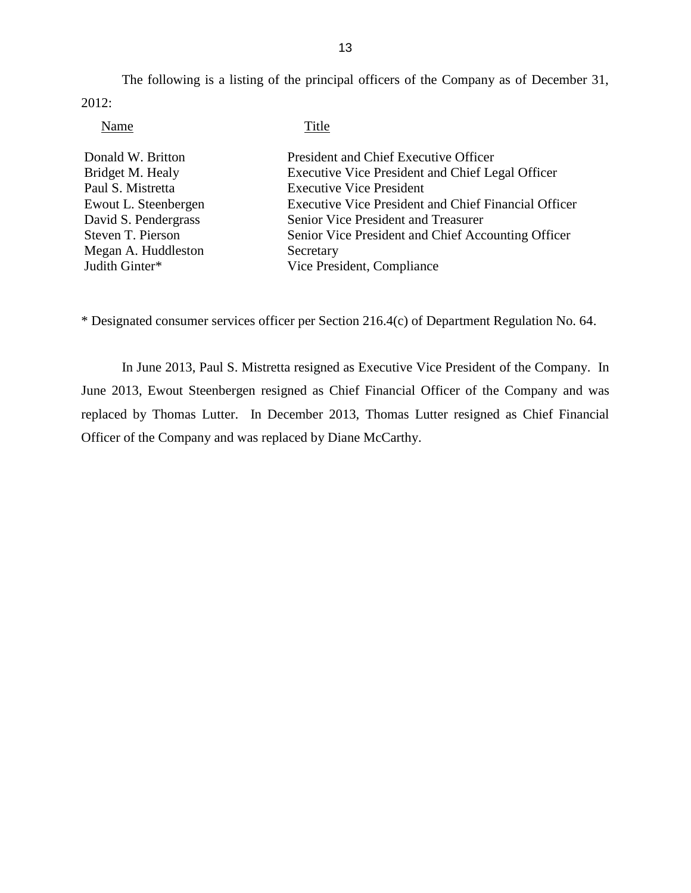<span id="page-15-0"></span> The following is a listing of the principal officers of the Company as of December 31, 2012:

| Title                                                       |
|-------------------------------------------------------------|
| President and Chief Executive Officer                       |
| Executive Vice President and Chief Legal Officer            |
| <b>Executive Vice President</b>                             |
| <b>Executive Vice President and Chief Financial Officer</b> |
| Senior Vice President and Treasurer                         |
| Senior Vice President and Chief Accounting Officer          |
| Secretary                                                   |
| Vice President, Compliance                                  |
|                                                             |

\* Designated consumer services officer per Section 216.4(c) of Department Regulation No. 64.

 In June 2013, Paul S. Mistretta resigned as Executive Vice President of the Company. In June 2013, Ewout Steenbergen resigned as Chief Financial Officer of the Company and was replaced by Thomas Lutter. In December 2013, Thomas Lutter resigned as Chief Financial Officer of the Company and was replaced by Diane McCarthy.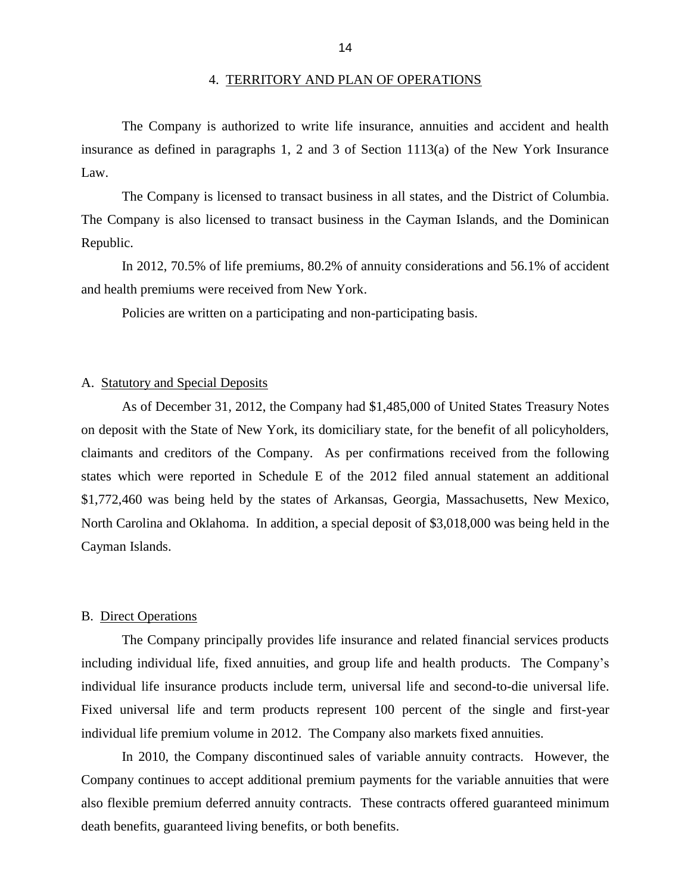<span id="page-16-0"></span> insurance as defined in paragraphs 1, 2 and 3 of Section 1113(a) of the New York Insurance The Company is authorized to write life insurance, annuities and accident and health Law.

 The Company is also licensed to transact business in the Cayman Islands, and the Dominican The Company is licensed to transact business in all states, and the District of Columbia. Republic.

 In 2012, 70.5% of life premiums, 80.2% of annuity considerations and 56.1% of accident and health premiums were received from New York.

Policies are written on a participating and non-participating basis.

#### A. Statutory and Special Deposits

 on deposit with the State of New York, its domiciliary state, for the benefit of all policyholders, claimants and creditors of the Company. As per confirmations received from the following states which were reported in Schedule E of the 2012 filed annual statement an additional \$1,772,460 was being held by the states of Arkansas, Georgia, Massachusetts, New Mexico, North Carolina and Oklahoma. In addition, a special deposit of \$3,018,000 was being held in the As of December 31, 2012, the Company had \$1,485,000 of United States Treasury Notes Cayman Islands.

#### B. Direct Operations

 including individual life, fixed annuities, and group life and health products. The Company's individual life insurance products include term, universal life and second-to-die universal life. Fixed universal life and term products represent 100 percent of the single and first-year individual life premium volume in 2012. The Company also markets fixed annuities. The Company principally provides life insurance and related financial services products

 also flexible premium deferred annuity contracts. These contracts offered guaranteed minimum In 2010, the Company discontinued sales of variable annuity contracts. However, the Company continues to accept additional premium payments for the variable annuities that were death benefits, guaranteed living benefits, or both benefits.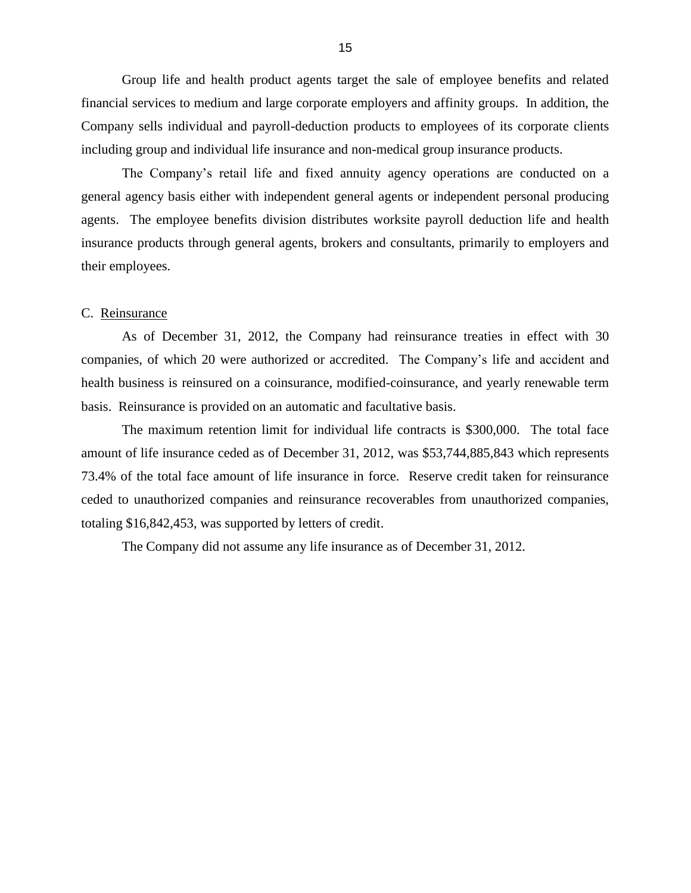<span id="page-17-0"></span> financial services to medium and large corporate employers and affinity groups. In addition, the Group life and health product agents target the sale of employee benefits and related Company sells individual and payroll-deduction products to employees of its corporate clients including group and individual life insurance and non-medical group insurance products.

 The Company's retail life and fixed annuity agency operations are conducted on a general agency basis either with independent general agents or independent personal producing agents. The employee benefits division distributes worksite payroll deduction life and health insurance products through general agents, brokers and consultants, primarily to employers and their employees.

#### C. Reinsurance

 As of December 31, 2012, the Company had reinsurance treaties in effect with 30 companies, of which 20 were authorized or accredited. The Company's life and accident and health business is reinsured on a coinsurance, modified-coinsurance, and yearly renewable term basis. Reinsurance is provided on an automatic and facultative basis.

 amount of life insurance ceded as of December 31, 2012, was \$53,744,885,843 which represents 73.4% of the total face amount of life insurance in force. Reserve credit taken for reinsurance totaling \$16,842,453, was supported by letters of credit. The maximum retention limit for individual life contracts is \$300,000. The total face ceded to unauthorized companies and reinsurance recoverables from unauthorized companies,

The Company did not assume any life insurance as of December 31, 2012.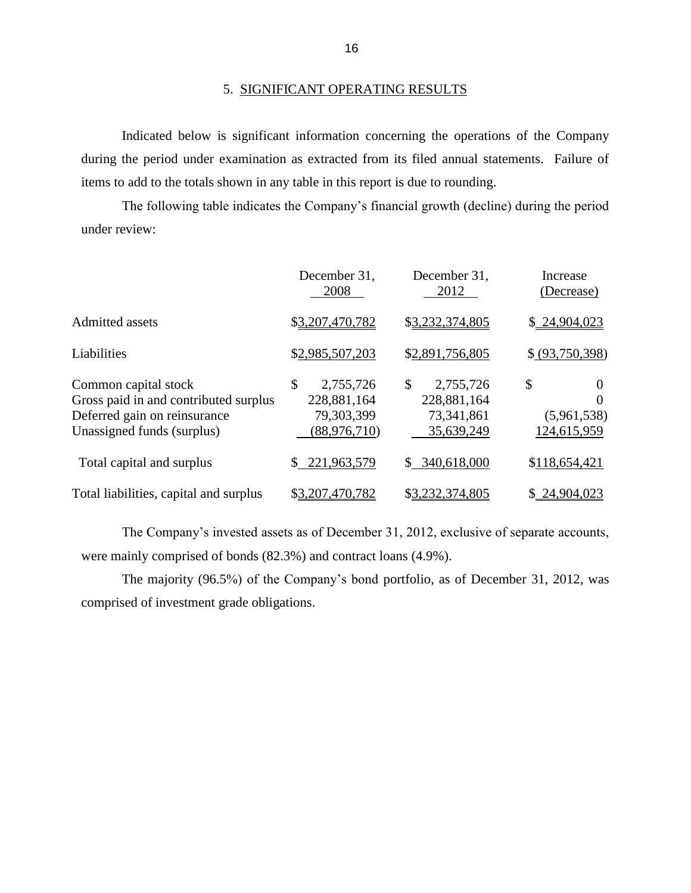#### 5. SIGNIFICANT OPERATING RESULTS

 during the period under examination as extracted from its filed annual statements. Failure of Indicated below is significant information concerning the operations of the Company items to add to the totals shown in any table in this report is due to rounding.

 The following table indicates the Company's financial growth (decline) during the period under review:

|                                        | December 31,<br>2008 | December 31,<br>2012          | Increase<br>(Decrease) |
|----------------------------------------|----------------------|-------------------------------|------------------------|
| Admitted assets                        | \$3,207,470,782      | \$3,232,374,805               | \$24,904,023           |
| Liabilities                            | \$2,985,507,203      | \$2,891,756,805               | \$ (93,750,398)        |
| Common capital stock                   | \$<br>2,755,726      | \$<br>2,755,726               | \$<br>$\theta$         |
| Gross paid in and contributed surplus  | 228,881,164          | 228,881,164                   | 0                      |
| Deferred gain on reinsurance           | 79,303,399           | 73,341,861                    | (5,961,538)            |
| Unassigned funds (surplus)             | (88, 976, 710)       | 35,639,249                    | 124,615,959            |
| Total capital and surplus              | 221,963,579<br>\$.   | 340,618,000<br>$\mathbb{S}^-$ | \$118,654,421          |
| Total liabilities, capital and surplus | \$3,207,470,782      | \$3,232,374,805               | \$24,904,023           |

 The Company's invested assets as of December 31, 2012, exclusive of separate accounts, were mainly comprised of bonds (82.3%) and contract loans (4.9%).

 The majority (96.5%) of the Company's bond portfolio, as of December 31, 2012, was comprised of investment grade obligations.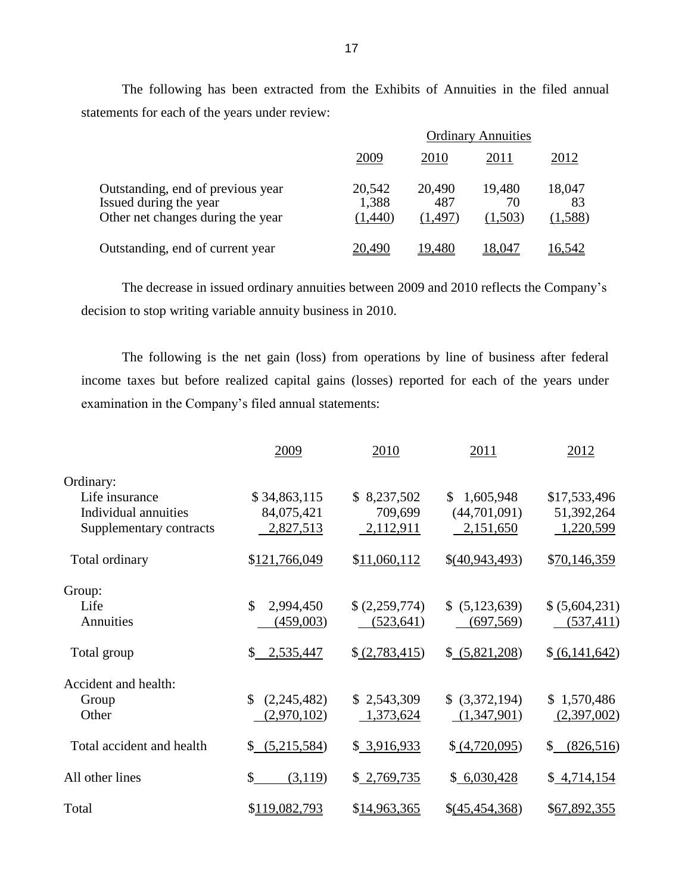The following has been extracted from the Exhibits of Annuities in the filed annual statements for each of the years under review:

|                                                                                                  | <b>Ordinary Annuities</b>  |                          |                         |                         |
|--------------------------------------------------------------------------------------------------|----------------------------|--------------------------|-------------------------|-------------------------|
|                                                                                                  | 2009                       | 2010                     | 2011                    | 2012                    |
| Outstanding, end of previous year<br>Issued during the year<br>Other net changes during the year | 20,542<br>1,388<br>(1,440) | 20,490<br>487<br>(1.497) | 19,480<br>70<br>(1,503) | 18,047<br>83<br>(1,588) |
| Outstanding, end of current year                                                                 | 20.490                     | 19,480                   | 8,047                   | 6,542                   |

The decrease in issued ordinary annuities between 2009 and 2010 reflects the Company's decision to stop writing variable annuity business in 2010.

 The following is the net gain (loss) from operations by line of business after federal income taxes but before realized capital gains (losses) reported for each of the years under examination in the Company's filed annual statements:

|                           | 2009              | 2010          | 2011                      | 2012            |
|---------------------------|-------------------|---------------|---------------------------|-----------------|
| Ordinary:                 |                   |               |                           |                 |
| Life insurance            | \$34,863,115      | \$8,237,502   | 1,605,948<br>$\mathbb{S}$ | \$17,533,496    |
| Individual annuities      | 84,075,421        | 709,699       | (44,701,091)              | 51,392,264      |
| Supplementary contracts   | 2,827,513         | 2,112,911     | 2,151,650                 | 1,220,599       |
| Total ordinary            | \$121,766,049     | \$11,060,112  | \$(40,943,493)            | \$70,146,359    |
| Group:                    |                   |               |                           |                 |
| Life                      | \$<br>2,994,450   | \$(2,259,774) | \$ (5,123,639)            | \$ (5,604,231)  |
| Annuities                 | (459,003)         | (523, 641)    | (697, 569)                | (537, 411)      |
| Total group               | 2,535,447<br>\$   | \$(2,783,415) | \$ (5,821,208)            | \$(6,141,642)   |
| Accident and health:      |                   |               |                           |                 |
| Group                     | \$<br>(2,245,482) | \$2,543,309   | \$ (3,372,194)            | \$1,570,486     |
| Other                     | (2,970,102)       | 1,373,624     | (1,347,901)               | (2,397,002)     |
| Total accident and health | (5,215,584)<br>\$ | \$3,916,933   | (4,720,095)               | S.<br>(826,516) |
| All other lines           | \$<br>(3,119)     | \$2,769,735   | \$6,030,428               | \$4,714,154     |
| Total                     | \$119,082,793     | \$14,963,365  | \$(45,454,368)            | \$67,892,355    |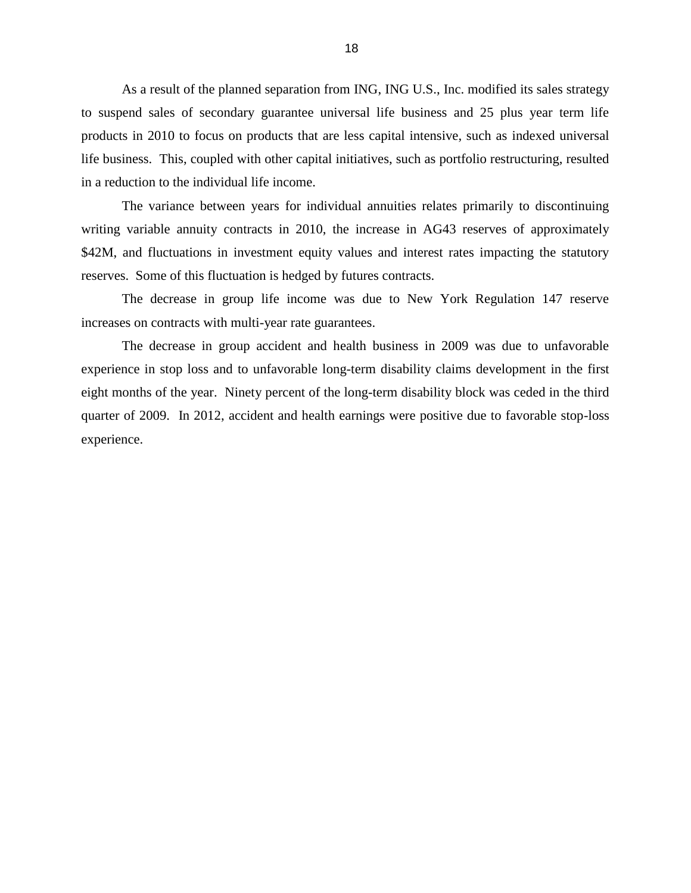<span id="page-20-0"></span> As a result of the planned separation from ING, ING U.S., Inc. modified its sales strategy to suspend sales of secondary guarantee universal life business and 25 plus year term life products in 2010 to focus on products that are less capital intensive, such as indexed universal life business. This, coupled with other capital initiatives, such as portfolio restructuring, resulted in a reduction to the individual life income.

 The variance between years for individual annuities relates primarily to discontinuing writing variable annuity contracts in 2010, the increase in AG43 reserves of approximately \$42M, and fluctuations in investment equity values and interest rates impacting the statutory reserves. Some of this fluctuation is hedged by futures contracts.

 The decrease in group life income was due to New York Regulation 147 reserve increases on contracts with multi-year rate guarantees.

 The decrease in group accident and health business in 2009 was due to unfavorable experience in stop loss and to unfavorable long-term disability claims development in the first eight months of the year. Ninety percent of the long-term disability block was ceded in the third quarter of 2009. In 2012, accident and health earnings were positive due to favorable stop-loss experience.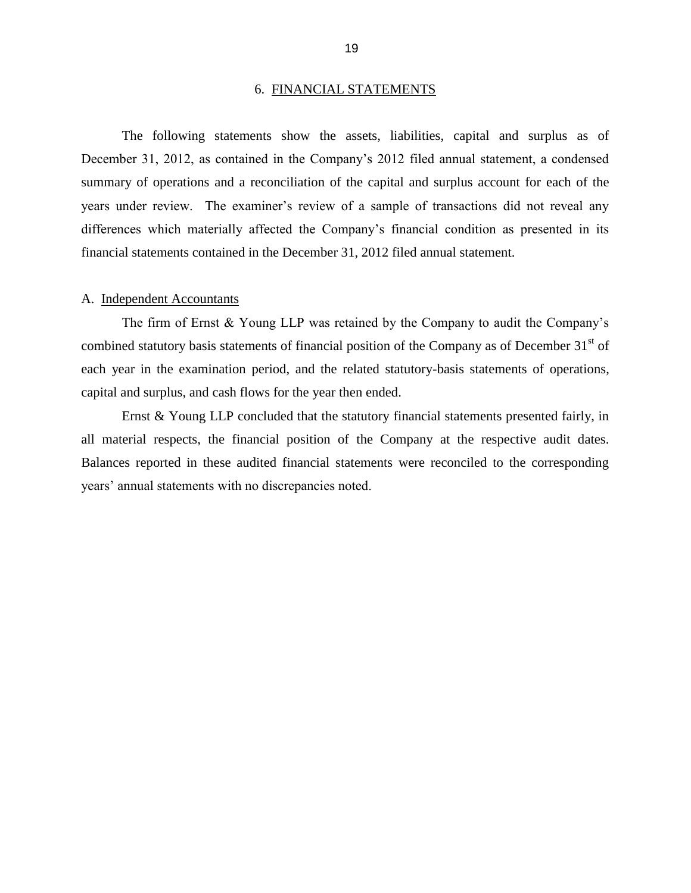#### 6. FINANCIAL STATEMENTS

<span id="page-21-0"></span> December 31, 2012, as contained in the Company's 2012 filed annual statement, a condensed summary of operations and a reconciliation of the capital and surplus account for each of the years under review. The examiner's review of a sample of transactions did not reveal any The following statements show the assets, liabilities, capital and surplus as of differences which materially affected the Company's financial condition as presented in its financial statements contained in the December 31, 2012 filed annual statement.

#### A. Independent Accountants

 The firm of Ernst & Young LLP was retained by the Company to audit the Company's combined statutory basis statements of financial position of the Company as of December 31<sup>st</sup> of each year in the examination period, and the related statutory-basis statements of operations, capital and surplus, and cash flows for the year then ended.

 Ernst & Young LLP concluded that the statutory financial statements presented fairly, in all material respects, the financial position of the Company at the respective audit dates. Balances reported in these audited financial statements were reconciled to the corresponding years' annual statements with no discrepancies noted.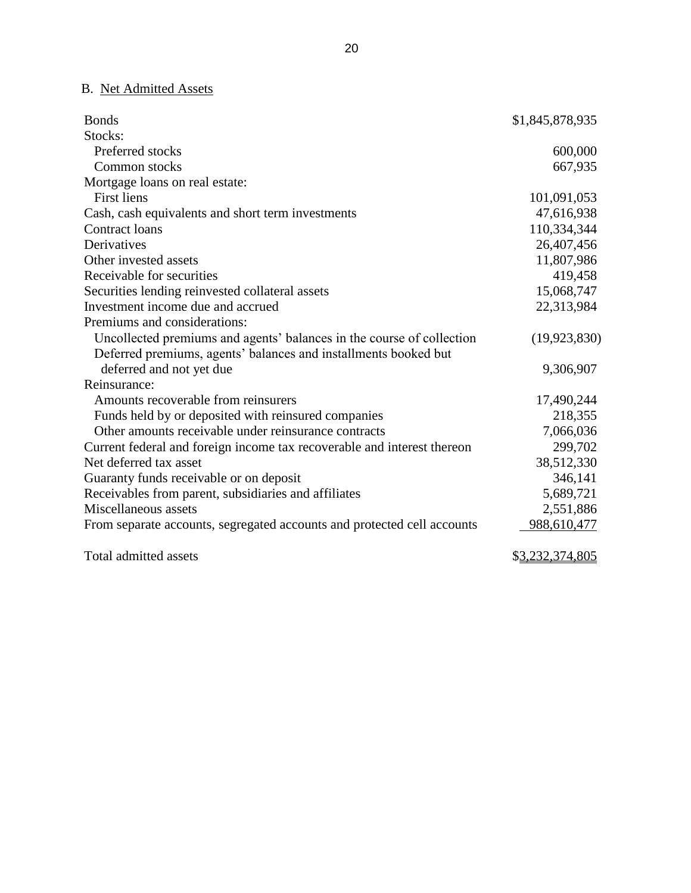## B. Net Admitted Assets

| <b>Bonds</b>                                                            | \$1,845,878,935         |
|-------------------------------------------------------------------------|-------------------------|
| Stocks:                                                                 |                         |
| Preferred stocks                                                        | 600,000                 |
| Common stocks                                                           | 667,935                 |
| Mortgage loans on real estate:                                          |                         |
| <b>First liens</b>                                                      | 101,091,053             |
| Cash, cash equivalents and short term investments                       | 47,616,938              |
| <b>Contract loans</b>                                                   | 110,334,344             |
| Derivatives                                                             | 26,407,456              |
| Other invested assets                                                   | 11,807,986              |
| Receivable for securities                                               | 419,458                 |
| Securities lending reinvested collateral assets                         | 15,068,747              |
| Investment income due and accrued                                       | 22,313,984              |
| Premiums and considerations:                                            |                         |
| Uncollected premiums and agents' balances in the course of collection   | (19, 923, 830)          |
| Deferred premiums, agents' balances and installments booked but         |                         |
| deferred and not yet due                                                | 9,306,907               |
| Reinsurance:                                                            |                         |
| Amounts recoverable from reinsurers                                     | 17,490,244              |
| Funds held by or deposited with reinsured companies                     | 218,355                 |
| Other amounts receivable under reinsurance contracts                    | 7,066,036               |
| Current federal and foreign income tax recoverable and interest thereon | 299,702                 |
| Net deferred tax asset                                                  | 38,512,330              |
| Guaranty funds receivable or on deposit                                 | 346,141                 |
| Receivables from parent, subsidiaries and affiliates                    | 5,689,721               |
| Miscellaneous assets                                                    | 2,551,886               |
| From separate accounts, segregated accounts and protected cell accounts | 988,610,477             |
| Total admitted assets                                                   | \$ <u>3,232,374,805</u> |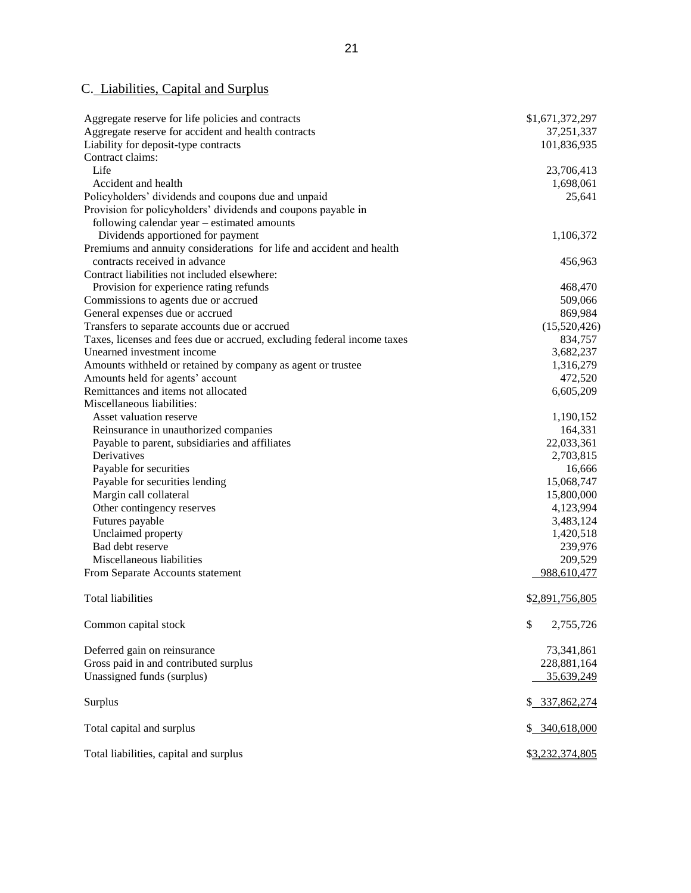#### C. Liabilities, Capital and Surplus

| Aggregate reserve for life policies and contracts                       | \$1,671,372,297 |
|-------------------------------------------------------------------------|-----------------|
| Aggregate reserve for accident and health contracts                     | 37, 251, 337    |
| Liability for deposit-type contracts                                    | 101,836,935     |
| Contract claims:                                                        |                 |
| Life                                                                    | 23,706,413      |
| Accident and health                                                     | 1,698,061       |
| Policyholders' dividends and coupons due and unpaid                     | 25,641          |
| Provision for policyholders' dividends and coupons payable in           |                 |
| following calendar year - estimated amounts                             |                 |
| Dividends apportioned for payment                                       | 1,106,372       |
| Premiums and annuity considerations for life and accident and health    |                 |
| contracts received in advance                                           | 456,963         |
| Contract liabilities not included elsewhere:                            |                 |
| Provision for experience rating refunds                                 | 468,470         |
| Commissions to agents due or accrued                                    | 509,066         |
| General expenses due or accrued                                         | 869,984         |
| Transfers to separate accounts due or accrued                           | (15,520,426)    |
| Taxes, licenses and fees due or accrued, excluding federal income taxes | 834,757         |
| Unearned investment income                                              | 3,682,237       |
| Amounts withheld or retained by company as agent or trustee             | 1,316,279       |
| Amounts held for agents' account                                        | 472,520         |
| Remittances and items not allocated                                     | 6,605,209       |
| Miscellaneous liabilities:                                              |                 |
| Asset valuation reserve                                                 | 1,190,152       |
| Reinsurance in unauthorized companies                                   | 164,331         |
| Payable to parent, subsidiaries and affiliates                          | 22,033,361      |
| Derivatives                                                             | 2,703,815       |
| Payable for securities                                                  | 16,666          |
| Payable for securities lending                                          | 15,068,747      |
| Margin call collateral                                                  | 15,800,000      |
| Other contingency reserves                                              | 4,123,994       |
| Futures payable                                                         | 3,483,124       |
| Unclaimed property                                                      | 1,420,518       |
| Bad debt reserve                                                        | 239,976         |
| Miscellaneous liabilities                                               | 209,529         |
| From Separate Accounts statement                                        | 988,610,477     |
|                                                                         |                 |
| <b>Total liabilities</b>                                                | \$2,891,756,805 |
|                                                                         | \$              |
| Common capital stock                                                    | 2,755,726       |
| Deferred gain on reinsurance                                            | 73,341,861      |
| Gross paid in and contributed surplus                                   | 228,881,164     |
| Unassigned funds (surplus)                                              | 35,639,249      |
|                                                                         |                 |
| Surplus                                                                 | \$ 337,862,274  |
| Total capital and surplus                                               | \$ 340,618,000  |
| Total liabilities, capital and surplus                                  | \$3,232,374,805 |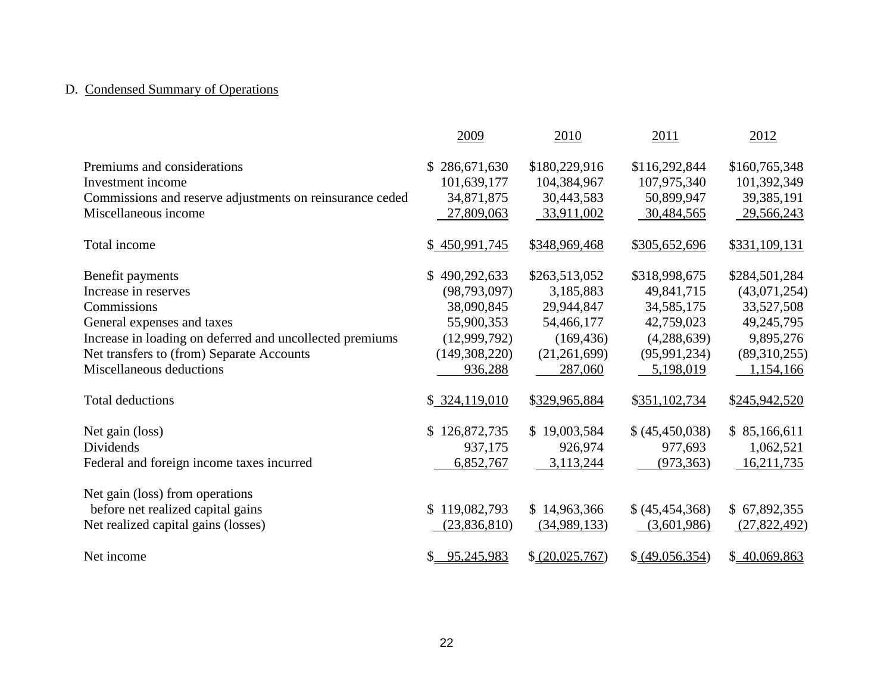# D. Condensed Summary of Operations

|                                                          | 2009                        | 2010            | 2011              | 2012          |
|----------------------------------------------------------|-----------------------------|-----------------|-------------------|---------------|
| Premiums and considerations                              | 286,671,630<br>\$           | \$180,229,916   | \$116,292,844     | \$160,765,348 |
| Investment income                                        | 101,639,177                 | 104,384,967     | 107,975,340       | 101,392,349   |
| Commissions and reserve adjustments on reinsurance ceded | 34,871,875                  | 30,443,583      | 50,899,947        | 39,385,191    |
| Miscellaneous income                                     | 27,809,063                  | 33,911,002      | 30,484,565        | 29,566,243    |
| Total income                                             | \$450,991,745               | \$348,969,468   | \$305,652,696     | \$331,109,131 |
| Benefit payments                                         | $\mathbb{S}$<br>490,292,633 | \$263,513,052   | \$318,998,675     | \$284,501,284 |
| Increase in reserves                                     | (98, 793, 097)              | 3,185,883       | 49,841,715        | (43,071,254)  |
| Commissions                                              | 38,090,845                  | 29,944,847      | 34,585,175        | 33,527,508    |
| General expenses and taxes                               | 55,900,353                  | 54,466,177      | 42,759,023        | 49,245,795    |
| Increase in loading on deferred and uncollected premiums | (12,999,792)                | (169, 436)      | (4,288,639)       | 9,895,276     |
| Net transfers to (from) Separate Accounts                | (149,308,220)               | (21, 261, 699)  | (95, 991, 234)    | (89,310,255)  |
| Miscellaneous deductions                                 | 936,288                     | 287,060         | 5,198,019         | 1,154,166     |
| <b>Total deductions</b>                                  | \$324,119,010               | \$329,965,884   | \$351,102,734     | \$245,942,520 |
| Net gain (loss)                                          | 126,872,735<br>S.           | \$19,003,584    | \$ (45,450,038)   | \$85,166,611  |
| Dividends                                                | 937,175                     | 926,974         | 977,693           | 1,062,521     |
| Federal and foreign income taxes incurred                | 6,852,767                   | 3,113,244       | (973, 363)        | 16,211,735    |
| Net gain (loss) from operations                          |                             |                 |                   |               |
| before net realized capital gains                        | \$119,082,793               | \$14,963,366    | \$ (45, 454, 368) | \$67,892,355  |
| Net realized capital gains (losses)                      | (23,836,810)                | (34,989,133)    | (3,601,986)       | (27,822,492)  |
| Net income                                               | 95,245,983<br>$\mathbb{S}$  | \$ (20,025,767) | \$ (49,056,354)   | \$40,069,863  |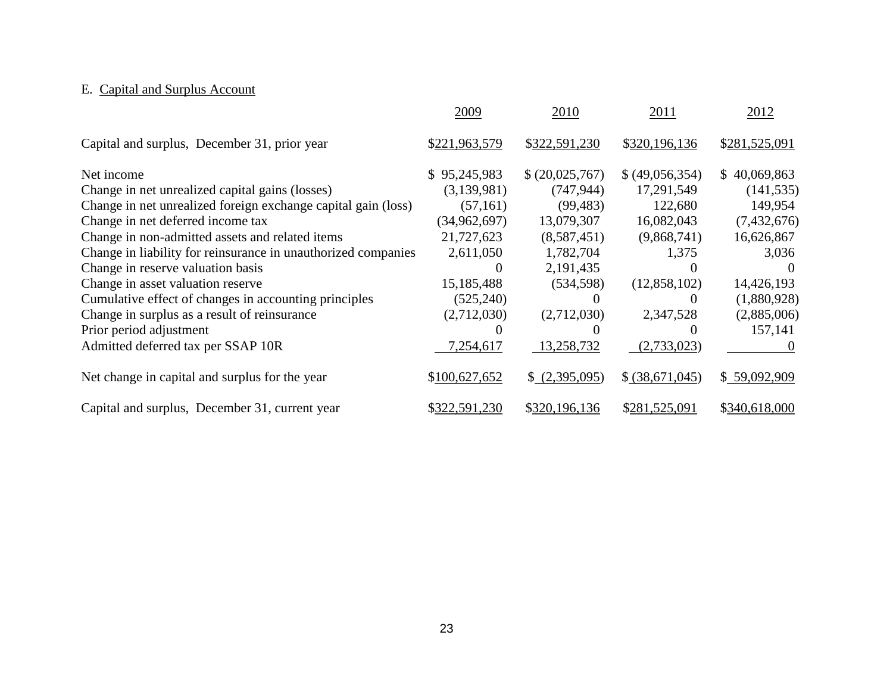# E. Capital and Surplus Account

|                                                               | 2009           | 2010            | 2011            | 2012          |
|---------------------------------------------------------------|----------------|-----------------|-----------------|---------------|
| Capital and surplus, December 31, prior year                  | \$221,963,579  | \$322,591,230   | \$320,196,136   | \$281,525,091 |
| Net income                                                    | \$95,245,983   | \$ (20,025,767) | \$ (49,056,354) | \$40,069,863  |
| Change in net unrealized capital gains (losses)               | (3,139,981)    | (747, 944)      | 17,291,549      | (141, 535)    |
| Change in net unrealized foreign exchange capital gain (loss) | (57, 161)      | (99, 483)       | 122,680         | 149,954       |
| Change in net deferred income tax                             | (34, 962, 697) | 13,079,307      | 16,082,043      | (7,432,676)   |
| Change in non-admitted assets and related items               | 21,727,623     | (8,587,451)     | (9,868,741)     | 16,626,867    |
| Change in liability for reinsurance in unauthorized companies | 2,611,050      | 1,782,704       | 1,375           | 3,036         |
| Change in reserve valuation basis                             | $\theta$       | 2,191,435       | 0               |               |
| Change in asset valuation reserve                             | 15,185,488     | (534, 598)      | (12,858,102)    | 14,426,193    |
| Cumulative effect of changes in accounting principles         | (525, 240)     | $\Omega$        | $\theta$        | (1,880,928)   |
| Change in surplus as a result of reinsurance                  | (2,712,030)    | (2,712,030)     | 2,347,528       | (2,885,006)   |
| Prior period adjustment                                       |                |                 | $\theta$        | 157,141       |
| Admitted deferred tax per SSAP 10R                            | 7,254,617      | 13,258,732      | (2,733,023)     | $\theta$      |
| Net change in capital and surplus for the year                | \$100,627,652  | \$ (2,395,095)  | \$ (38,671,045) | \$59,092,909  |
| Capital and surplus, December 31, current year                | \$322,591,230  | \$320,196,136   | \$281,525,091   | \$340,618,000 |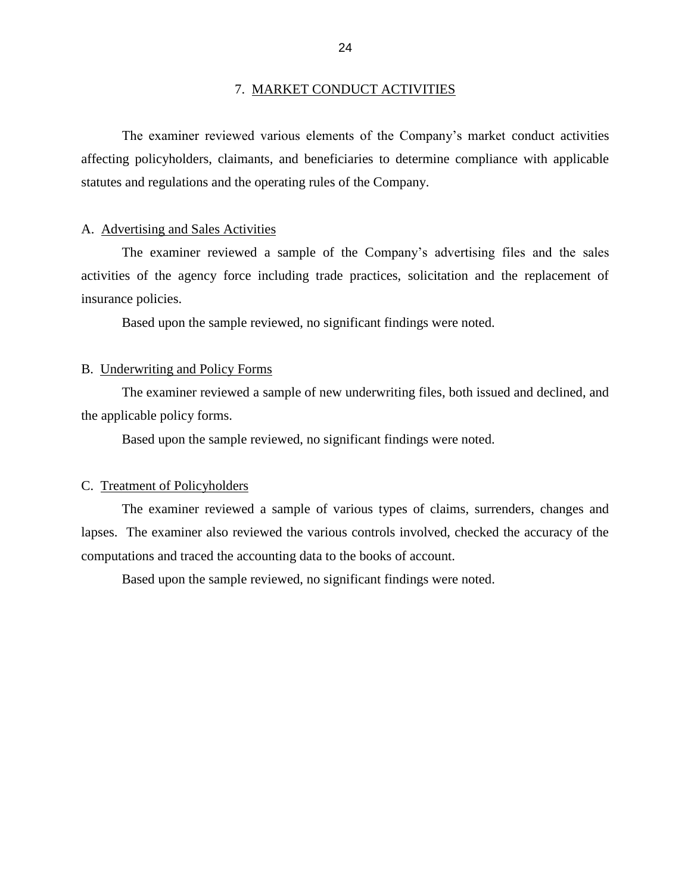#### 7. MARKET CONDUCT ACTIVITIES

<span id="page-26-0"></span> affecting policyholders, claimants, and beneficiaries to determine compliance with applicable The examiner reviewed various elements of the Company's market conduct activities statutes and regulations and the operating rules of the Company.

#### A. Advertising and Sales Activities

 activities of the agency force including trade practices, solicitation and the replacement of The examiner reviewed a sample of the Company's advertising files and the sales insurance policies.

Based upon the sample reviewed, no significant findings were noted.

#### B. Underwriting and Policy Forms

The examiner reviewed a sample of new underwriting files, both issued and declined, and the applicable policy forms.

Based upon the sample reviewed, no significant findings were noted.

#### C. Treatment of Policyholders

 lapses. The examiner also reviewed the various controls involved, checked the accuracy of the The examiner reviewed a sample of various types of claims, surrenders, changes and computations and traced the accounting data to the books of account.

Based upon the sample reviewed, no significant findings were noted.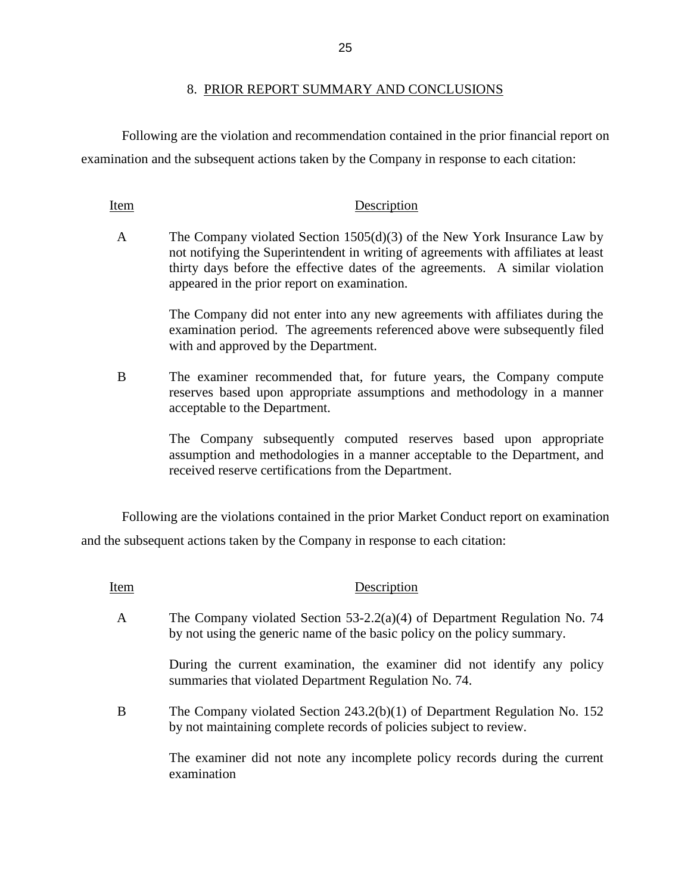#### 8. PRIOR REPORT SUMMARY AND CONCLUSIONS

Following are the violation and recommendation contained in the prior financial report on examination and the subsequent actions taken by the Company in response to each citation:

#### Item Description

 A The Company violated Section 1505(d)(3) of the New York Insurance Law by not notifying the Superintendent in writing of agreements with affiliates at least thirty days before the effective dates of the agreements. A similar violation appeared in the prior report on examination.

> The Company did not enter into any new agreements with affiliates during the examination period. The agreements referenced above were subsequently filed with and approved by the Department.

 B The examiner recommended that, for future years, the Company compute reserves based upon appropriate assumptions and methodology in a manner acceptable to the Department.

> The Company subsequently computed reserves based upon appropriate assumption and methodologies in a manner acceptable to the Department, and received reserve certifications from the Department.

 Following are the violations contained in the prior Market Conduct report on examination and the subsequent actions taken by the Company in response to each citation:

Item Description

 A The Company violated Section 53-2.2(a)(4) of Department Regulation No. 74 by not using the generic name of the basic policy on the policy summary.

> During the current examination, the examiner did not identify any policy summaries that violated Department Regulation No. 74.

 B The Company violated Section 243.2(b)(1) of Department Regulation No. 152 by not maintaining complete records of policies subject to review.

> The examiner did not note any incomplete policy records during the current examination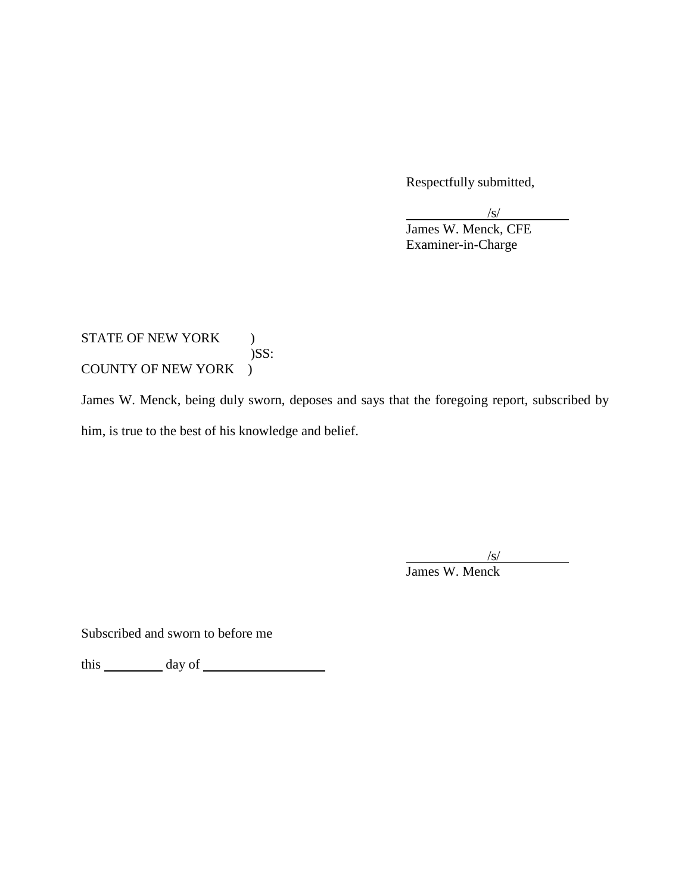Respectfully submitted,

/s/ James W. Menck, CFE Examiner-in-Charge

## COUNTY OF NEW YORK ) STATE OF NEW YORK ) )SS:

James W. Menck, being duly sworn, deposes and says that the foregoing report, subscribed by him, is true to the best of his knowledge and belief.

/s/

James W. Menck

Subscribed and sworn to before me

this day of